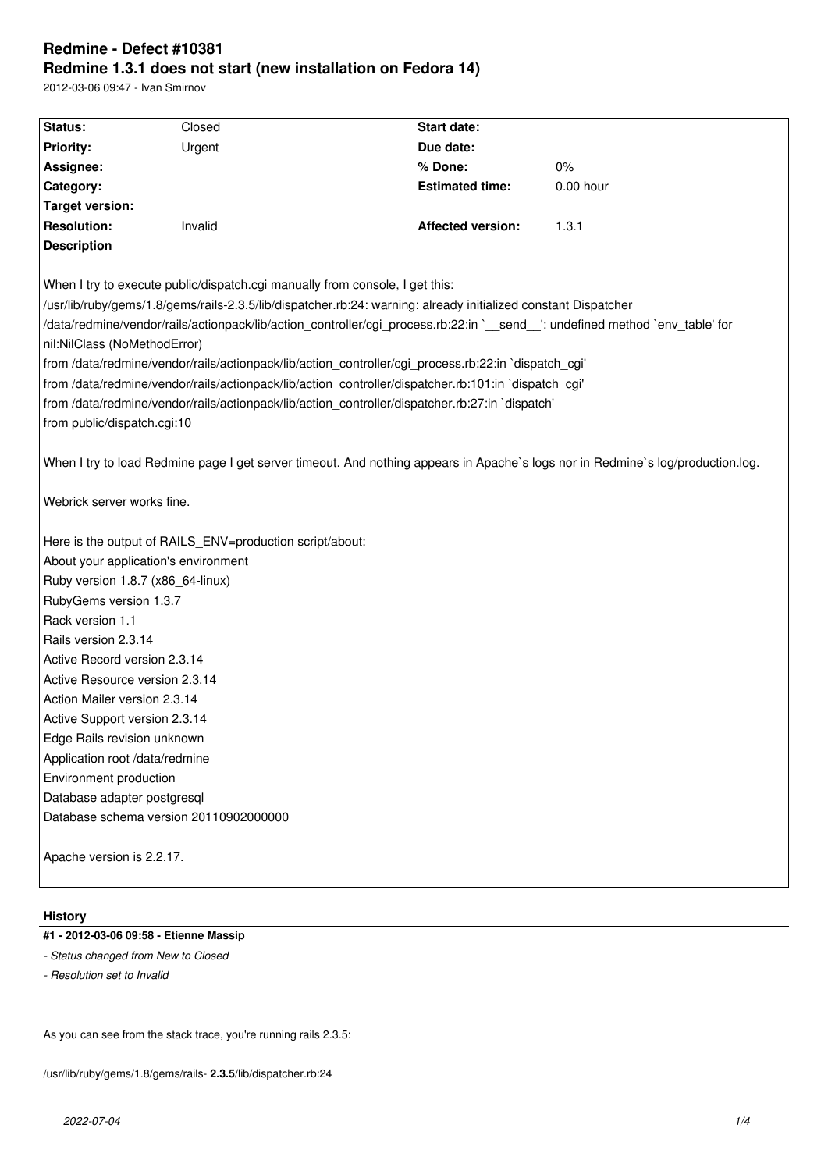# **Redmine - Defect #10381 Redmine 1.3.1 does not start (new installation on Fedora 14)**

2012-03-06 09:47 - Ivan Smirnov

| Status:                                                                                                                         | Closed  | Start date:              |             |
|---------------------------------------------------------------------------------------------------------------------------------|---------|--------------------------|-------------|
| <b>Priority:</b>                                                                                                                | Urgent  | Due date:                |             |
| Assignee:                                                                                                                       |         | % Done:                  | 0%          |
| Category:                                                                                                                       |         | <b>Estimated time:</b>   | $0.00$ hour |
| <b>Target version:</b>                                                                                                          |         |                          |             |
| <b>Resolution:</b>                                                                                                              | Invalid | <b>Affected version:</b> | 1.3.1       |
| <b>Description</b>                                                                                                              |         |                          |             |
|                                                                                                                                 |         |                          |             |
| When I try to execute public/dispatch.cgi manually from console, I get this:                                                    |         |                          |             |
| /usr/lib/ruby/gems/1.8/gems/rails-2.3.5/lib/dispatcher.rb:24: warning: already initialized constant Dispatcher                  |         |                          |             |
| /data/redmine/vendor/rails/actionpack/lib/action_controller/cgi_process.rb:22:in `_send_': undefined method `env_table' for     |         |                          |             |
| nil:NilClass (NoMethodError)                                                                                                    |         |                          |             |
| from /data/redmine/vendor/rails/actionpack/lib/action_controller/cgi_process.rb:22:in `dispatch_cgi'                            |         |                          |             |
| from /data/redmine/vendor/rails/actionpack/lib/action_controller/dispatcher.rb:101:in `dispatch_cgi'                            |         |                          |             |
| from /data/redmine/vendor/rails/actionpack/lib/action_controller/dispatcher.rb:27:in `dispatch'                                 |         |                          |             |
| from public/dispatch.cgi:10                                                                                                     |         |                          |             |
|                                                                                                                                 |         |                          |             |
| When I try to load Redmine page I get server timeout. And nothing appears in Apache's logs nor in Redmine's log/production.log. |         |                          |             |
|                                                                                                                                 |         |                          |             |
| Webrick server works fine.                                                                                                      |         |                          |             |
|                                                                                                                                 |         |                          |             |
| Here is the output of RAILS_ENV=production script/about:                                                                        |         |                          |             |
| About your application's environment                                                                                            |         |                          |             |
| Ruby version 1.8.7 (x86_64-linux)                                                                                               |         |                          |             |
| RubyGems version 1.3.7                                                                                                          |         |                          |             |
| Rack version 1.1                                                                                                                |         |                          |             |
| Rails version 2.3.14                                                                                                            |         |                          |             |
| Active Record version 2.3.14                                                                                                    |         |                          |             |
| Active Resource version 2.3.14                                                                                                  |         |                          |             |
| Action Mailer version 2.3.14                                                                                                    |         |                          |             |
| Active Support version 2.3.14<br>Edge Rails revision unknown                                                                    |         |                          |             |
|                                                                                                                                 |         |                          |             |
| Application root /data/redmine                                                                                                  |         |                          |             |
| Environment production                                                                                                          |         |                          |             |
| Database adapter postgresql                                                                                                     |         |                          |             |
| Database schema version 20110902000000                                                                                          |         |                          |             |
| Apache version is 2.2.17.                                                                                                       |         |                          |             |
|                                                                                                                                 |         |                          |             |
|                                                                                                                                 |         |                          |             |

# **History**

# **#1 - 2012-03-06 09:58 - Etienne Massip**

- *Status changed from New to Closed*
- *Resolution set to Invalid*

As you can see from the stack trace, you're running rails 2.3.5:

/usr/lib/ruby/gems/1.8/gems/rails- **2.3.5**/lib/dispatcher.rb:24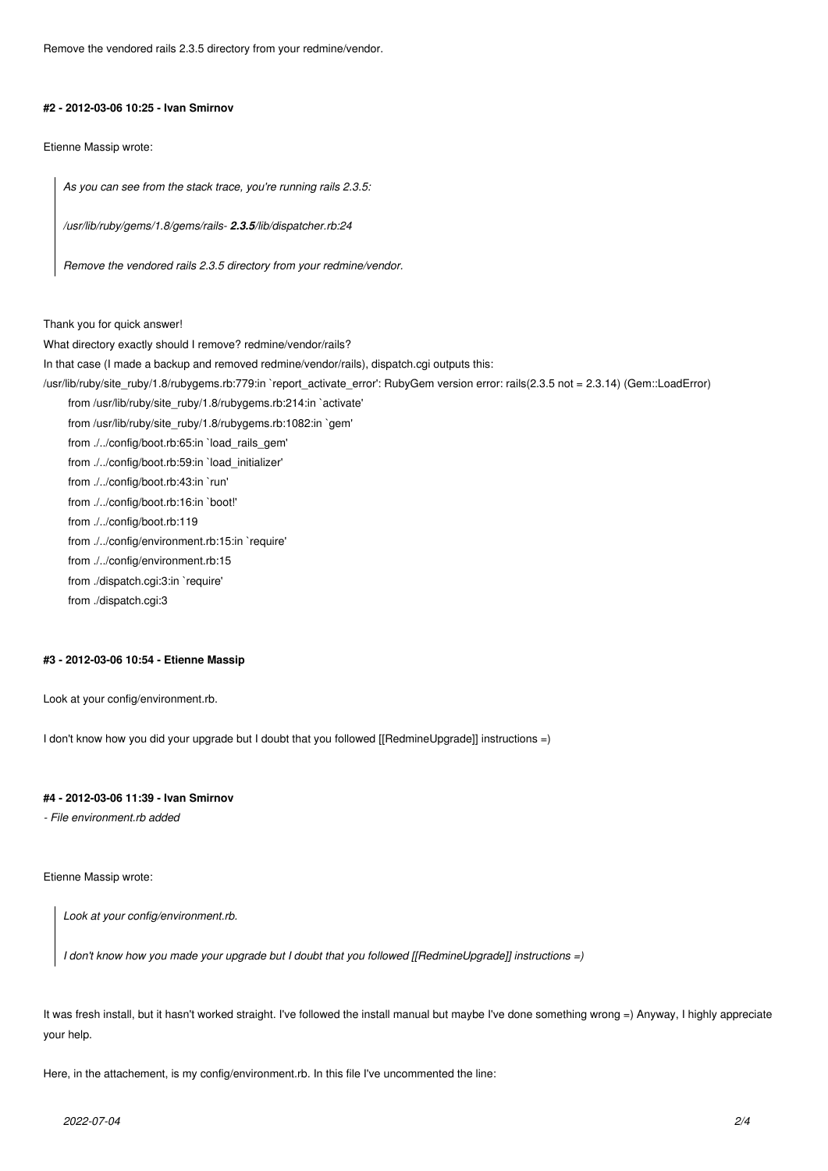Remove the vendored rails 2.3.5 directory from your redmine/vendor.

#### **#2 - 2012-03-06 10:25 - Ivan Smirnov**

Etienne Massip wrote:

*As you can see from the stack trace, you're running rails 2.3.5:*

*/usr/lib/ruby/gems/1.8/gems/rails- 2.3.5/lib/dispatcher.rb:24*

*Remove the vendored rails 2.3.5 directory from your redmine/vendor.*

Thank you for quick answer!

What directory exactly should I remove? redmine/vendor/rails?

In that case (I made a backup and removed redmine/vendor/rails), dispatch.cgi outputs this:

/usr/lib/ruby/site\_ruby/1.8/rubygems.rb:779:in `report\_activate\_error': RubyGem version error: rails(2.3.5 not = 2.3.14) (Gem::LoadError)

from /usr/lib/ruby/site\_ruby/1.8/rubygems.rb:214:in `activate'

from /usr/lib/ruby/site\_ruby/1.8/rubygems.rb:1082:in `gem'

from ./../config/boot.rb:65:in `load\_rails\_gem'

from ./../config/boot.rb:59:in `load\_initializer'

from ./../config/boot.rb:43:in `run'

from ./../config/boot.rb:16:in `boot!'

from ./../config/boot.rb:119

from ./../config/environment.rb:15:in `require'

from ./../config/environment.rb:15

from ./dispatch.cgi:3:in `require'

from ./dispatch.cgi:3

### **#3 - 2012-03-06 10:54 - Etienne Massip**

Look at your config/environment.rb.

I don't know how you did your upgrade but I doubt that you followed [[RedmineUpgrade]] instructions =)

# **#4 - 2012-03-06 11:39 - Ivan Smirnov**

*- File environment.rb added*

Etienne Massip wrote:

*Look at your config/environment.rb.*

*I don't know how you made your upgrade but I doubt that you followed [[RedmineUpgrade]] instructions =)*

It was fresh install, but it hasn't worked straight. I've followed the install manual but maybe I've done something wrong =) Anyway, I highly appreciate your help.

Here, in the attachement, is my config/environment.rb. In this file I've uncommented the line: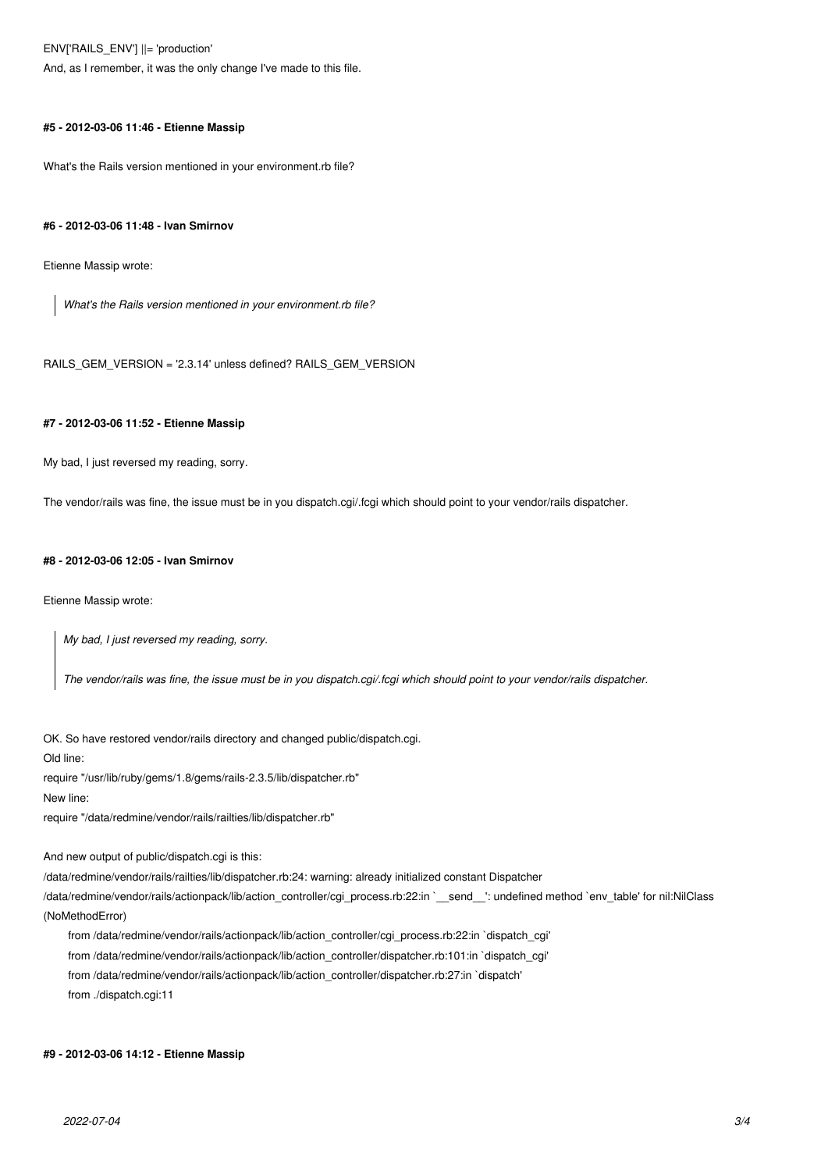ENV['RAILS\_ENV'] ||= 'production'

And, as I remember, it was the only change I've made to this file.

#### **#5 - 2012-03-06 11:46 - Etienne Massip**

What's the Rails version mentioned in your environment.rb file?

#### **#6 - 2012-03-06 11:48 - Ivan Smirnov**

Etienne Massip wrote:

*What's the Rails version mentioned in your environment.rb file?*

RAILS\_GEM\_VERSION = '2.3.14' unless defined? RAILS\_GEM\_VERSION

#### **#7 - 2012-03-06 11:52 - Etienne Massip**

My bad, I just reversed my reading, sorry.

The vendor/rails was fine, the issue must be in you dispatch.cgi/.fcgi which should point to your vendor/rails dispatcher.

#### **#8 - 2012-03-06 12:05 - Ivan Smirnov**

Etienne Massip wrote:

*My bad, I just reversed my reading, sorry.*

*The vendor/rails was fine, the issue must be in you dispatch.cgi/.fcgi which should point to your vendor/rails dispatcher.*

OK. So have restored vendor/rails directory and changed public/dispatch.cgi. Old line:

require "/usr/lib/ruby/gems/1.8/gems/rails-2.3.5/lib/dispatcher.rb"

New line:

require "/data/redmine/vendor/rails/railties/lib/dispatcher.rb"

And new output of public/dispatch.cgi is this:

/data/redmine/vendor/rails/railties/lib/dispatcher.rb:24: warning: already initialized constant Dispatcher

/data/redmine/vendor/rails/actionpack/lib/action\_controller/cgi\_process.rb:22:in `\_\_send\_\_': undefined method `env\_table' for nil:NilClass (NoMethodError)

from /data/redmine/vendor/rails/actionpack/lib/action\_controller/cgi\_process.rb:22:in `dispatch\_cgi'

from /data/redmine/vendor/rails/actionpack/lib/action\_controller/dispatcher.rb:101:in `dispatch\_cgi'

from /data/redmine/vendor/rails/actionpack/lib/action\_controller/dispatcher.rb:27:in `dispatch'

from ./dispatch.cgi:11

#### **#9 - 2012-03-06 14:12 - Etienne Massip**